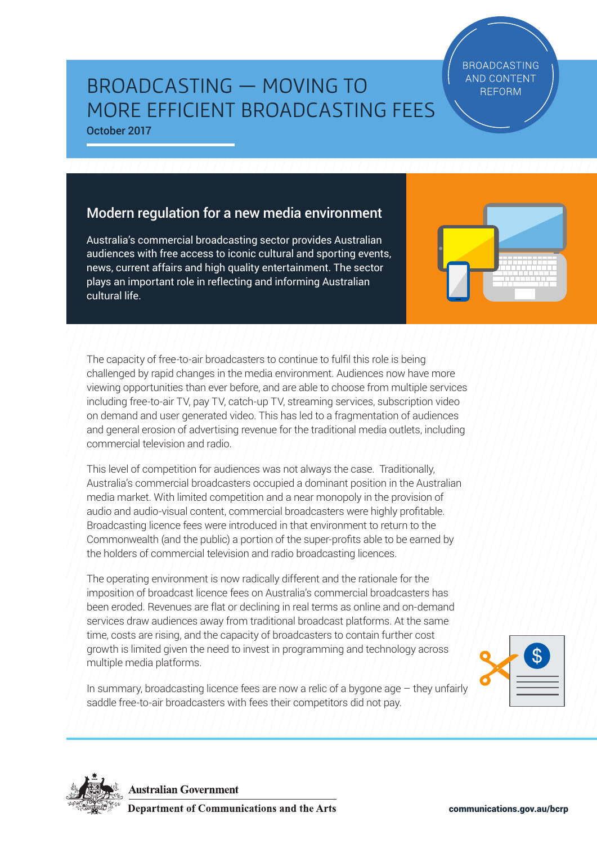communications.gov.au/bcrp

# BROADCASTING — MOVING TO MORE EFFICIENT BROADCASTING FEES

October 2017

# Modern regulation for a new media environment

Australia's commercial broadcasting sector provides Australian audiences with free access to iconic cultural and sporting events, news, current affairs and high quality entertainment. The sector plays an important role in reflecting and informing Australian cultural life.

The capacity of free-to-air broadcasters to continue to fulfil this role is being challenged by rapid changes in the media environment. Audiences now have more viewing opportunities than ever before, and are able to choose from multiple services including free-to-air TV, pay TV, catch-up TV, streaming services, subscription video on demand and user generated video. This has led to a fragmentation of audiences and general erosion of advertising revenue for the traditional media outlets, including commercial television and radio.

This level of competition for audiences was not always the case. Traditionally, Australia's commercial broadcasters occupied a dominant position in the Australian media market. With limited competition and a near monopoly in the provision of audio and audio-visual content, commercial broadcasters were highly profitable. Broadcasting licence fees were introduced in that environment to return to the Commonwealth (and the public) a portion of the super-profits able to be earned by the holders of commercial television and radio broadcasting licences.

The operating environment is now radically different and the rationale for the imposition of broadcast licence fees on Australia's commercial broadcasters has been eroded. Revenues are flat or declining in real terms as online and on-demand services draw audiences away from traditional broadcast platforms. At the same time, costs are rising, and the capacity of broadcasters to contain further cost growth is limited given the need to invest in programming and technology across multiple media platforms.

In summary, broadcasting licence fees are now a relic of a bygone age  $-$  they unfairly saddle free-to-air broadcasters with fees their competitors did not pay.



**Australian Government Department of Communications and the Arts** 





**BROADCASTING AND CONTENT REFORM**